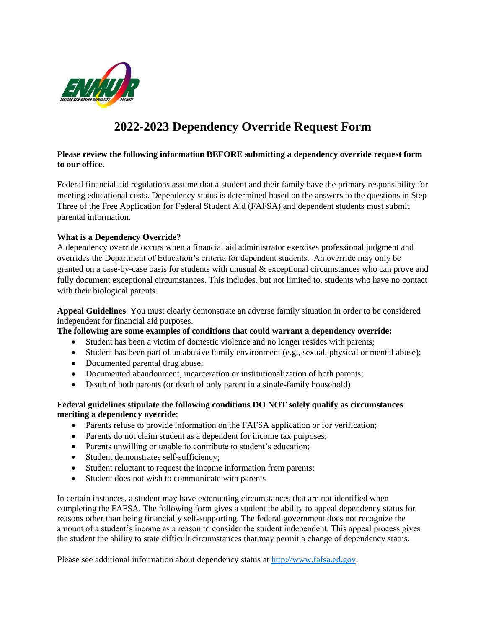

# **2022-2023 Dependency Override Request Form**

### **Please review the following information BEFORE submitting a dependency override request form to our office.**

Federal financial aid regulations assume that a student and their family have the primary responsibility for meeting educational costs. Dependency status is determined based on the answers to the questions in Step Three of the Free Application for Federal Student Aid (FAFSA) and dependent students must submit parental information.

### **What is a Dependency Override?**

A dependency override occurs when a financial aid administrator exercises professional judgment and overrides the Department of Education's criteria for dependent students. An override may only be granted on a case-by-case basis for students with unusual & exceptional circumstances who can prove and fully document exceptional circumstances. This includes, but not limited to, students who have no contact with their biological parents.

**Appeal Guidelines**: You must clearly demonstrate an adverse family situation in order to be considered independent for financial aid purposes.

**The following are some examples of conditions that could warrant a dependency override:** 

- Student has been a victim of domestic violence and no longer resides with parents;
- Student has been part of an abusive family environment (e.g., sexual, physical or mental abuse);
- Documented parental drug abuse;
- Documented abandonment, incarceration or institutionalization of both parents;
- Death of both parents (or death of only parent in a single-family household)

### **Federal guidelines stipulate the following conditions DO NOT solely qualify as circumstances meriting a dependency override**:

- Parents refuse to provide information on the FAFSA application or for verification;
- Parents do not claim student as a dependent for income tax purposes;
- Parents unwilling or unable to contribute to student's education;
- Student demonstrates self-sufficiency;
- Student reluctant to request the income information from parents;
- Student does not wish to communicate with parents

In certain instances, a student may have extenuating circumstances that are not identified when completing the FAFSA. The following form gives a student the ability to appeal dependency status for reasons other than being financially self-supporting. The federal government does not recognize the amount of a student's income as a reason to consider the student independent. This appeal process gives the student the ability to state difficult circumstances that may permit a change of dependency status.

Please see additional information about dependency status at [http://www.fafsa.ed.gov](http://www.fafsa.ed.gov/).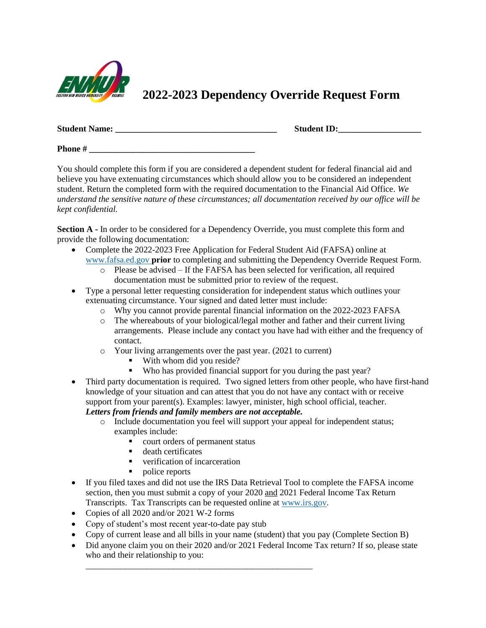

## **2022-2023 Dependency Override Request Form**

| <b>Student Name:</b> | <b>Student ID:</b> |
|----------------------|--------------------|
|----------------------|--------------------|

**Phone** #

You should complete this form if you are considered a dependent student for federal financial aid and believe you have extenuating circumstances which should allow you to be considered an independent student. Return the completed form with the required documentation to the Financial Aid Office. *We understand the sensitive nature of these circumstances; all documentation received by our office will be kept confidential.* 

**Section A** - In order to be considered for a Dependency Override, you must complete this form and provide the following documentation:

- Complete the 2022-2023 Free Application for Federal Student Aid (FAFSA) online at [www.fafsa.ed.gov](http://www.fafsa.ed.gov/) **prior** to completing and submitting the Dependency Override Request Form.
	- o Please be advised If the FAFSA has been selected for verification, all required documentation must be submitted prior to review of the request.
- Type a personal letter requesting consideration for independent status which outlines your extenuating circumstance. Your signed and dated letter must include:
	- o Why you cannot provide parental financial information on the 2022-2023 FAFSA
	- o The whereabouts of your biological/legal mother and father and their current living arrangements. Please include any contact you have had with either and the frequency of contact.
	- o Your living arrangements over the past year. (2021 to current)
		- With whom did you reside?
		- Who has provided financial support for you during the past year?
- Third party documentation is required. Two signed letters from other people, who have first-hand knowledge of your situation and can attest that you do not have any contact with or receive support from your parent(s). Examples: lawyer, minister, high school official, teacher.

## *Letters from friends and family members are not acceptable.*

- o Include documentation you feel will support your appeal for independent status; examples include:
	- court orders of permanent status

\_\_\_\_\_\_\_\_\_\_\_\_\_\_\_\_\_\_\_\_\_\_\_\_\_\_\_\_\_\_\_\_\_\_\_\_\_\_\_\_\_\_\_\_\_\_\_\_\_\_\_\_

- death certificates
- verification of incarceration
- police reports
- If you filed taxes and did not use the IRS Data Retrieval Tool to complete the FAFSA income section, then you must submit a copy of your 2020 and 2021 Federal Income Tax Return Transcripts. Tax Transcripts can be requested online at [www.irs.gov.](http://www.irs.gov/)
- Copies of all 2020 and/or 2021 W-2 forms
- Copy of student's most recent year-to-date pay stub
- Copy of current lease and all bills in your name (student) that you pay (Complete Section B)
- Did anyone claim you on their 2020 and/or 2021 Federal Income Tax return? If so, please state who and their relationship to you: